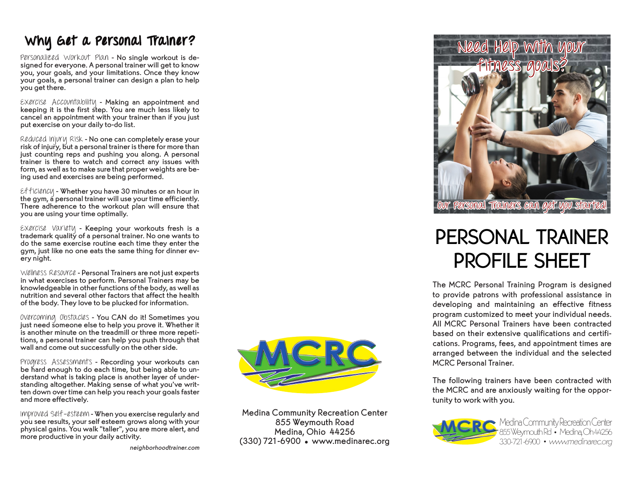## Why Get a Personal Trainer?

Personalized Workout Plan - No single workout is de- signed for everyone. A personal trainer will get to know you, your goals, and your limitations. Once they know your goals, a personal trainer can design a plan to help you get there.

Exercise Accountability - Making an appointment and keeping it is the first step. You are much less likely to cancel an appointment with your trainer than if you just put exercise on your daily to-do list.

Reduced Injury Risk - No one can completely erase your risk of injury, but a personal trainer is there for more than just counting reps and pushing you along. A personal trainer is there to watch and correct any issues with form, as well as to make sure that proper weights are be-<br>ing used and exercises are being performed.

Efficiency - Whether you have 30 minutes or an hour in the gym, a personal trainer will use your time efficiently. There adherence to the workout plan will ensure that you are using your time optimally.

Exercise Variety - Keeping your workouts fresh is a trademark quality of a personal trainer. No one wants to do the same exercise routine each time they enter the gym, just like no one eats the same thing for dinner ev- ery night.

Wellness Resource - Personal Trainers are not just experts in what exercises to perform. Personal Trainers may be knowledgeable in other functions of the body, as well as nutrition and several other factors that affect the health of the body. They love to be plucked for information.

Overcoming Obstacles - You CAN do it! Sometimes you just need someone else to help you prove it. Whether it tions, a personal trainer can help you push through that wall and come out successfully on the other side.

Progress Assessments - Recording your workouts can<br>be hard enough to do each time, but being able to understand what is taking place is another layer of under-<br>standing altogether. Making sense of what you've writ-<br>ten down over time can help you reach your goals faster and more effectively.

Improved Self-esteem - When you exercise regularly and you see results, your self esteem grows along with your physical gains. You walk "taller", you are more alert, and more productive in your daily activity.

neighborhoodtrainer.com



Medina Community Recreation Center 855 Weymouth Road Medina, Ohio 44256 (330) 721-6900 • www.medinarec.org



## PERSONAL TRAINER PROFILE SHEET

The MCRC Personal Training Program is designed to provide patrons with professional assistance in developing and maintaining an effective fitness program customized to meet your individual needs. All MCRC Personal Trainers have been contracted based on their extensive qualifications and certifications. Programs, fees, and appointment times are arranged between the individual and the selected MCRC Personal Trainer.

The following trainers have been contracted with the MCRC and are anxiously waiting for the opportunity to work with you.